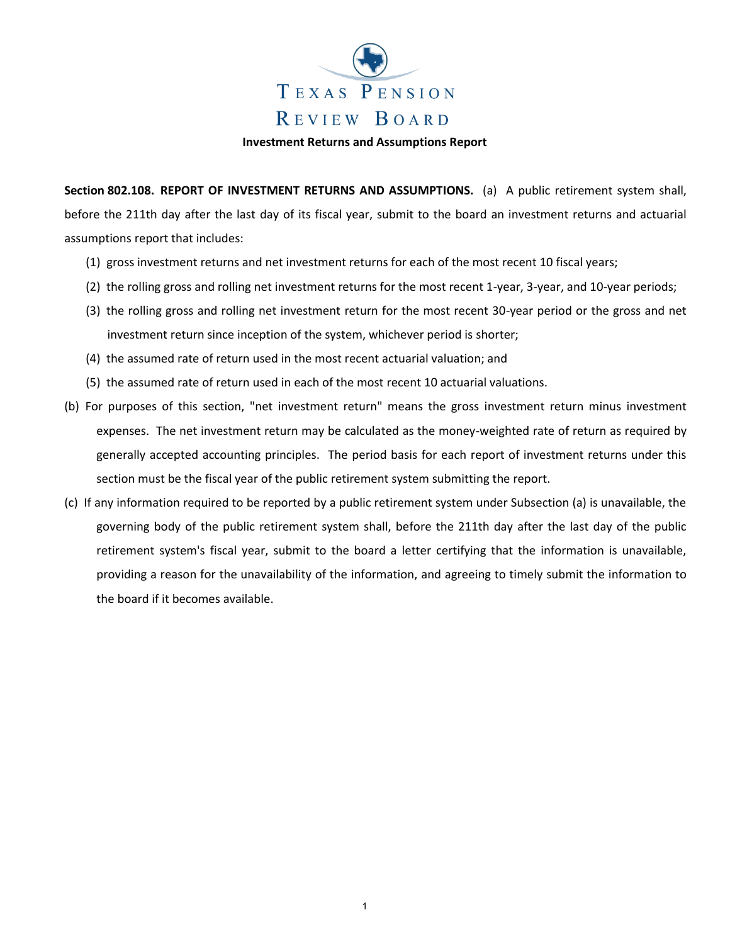

**Investment Returns and Assumptions Report**

**Section 802.108. REPORT OF INVESTMENT RETURNS AND ASSUMPTIONS.** (a) A public retirement system shall, before the 211th day after the last day of its fiscal year, submit to the board an investment returns and actuarial assumptions report that includes:

- (1) gross investment returns and net investment returns for each of the most recent 10 fiscal years;
- (2) the rolling gross and rolling net investment returns for the most recent 1-year, 3-year, and 10-year periods;
- (3) the rolling gross and rolling net investment return for the most recent 30-year period or the gross and net investment return since inception of the system, whichever period is shorter;
- (4) the assumed rate of return used in the most recent actuarial valuation; and
- (5) the assumed rate of return used in each of the most recent 10 actuarial valuations.
- (b) For purposes of this section, "net investment return" means the gross investment return minus investment expenses. The net investment return may be calculated as the money-weighted rate of return as required by generally accepted accounting principles. The period basis for each report of investment returns under this section must be the fiscal year of the public retirement system submitting the report.
- (c) If any information required to be reported by a public retirement system under Subsection (a) is unavailable, the governing body of the public retirement system shall, before the 211th day after the last day of the public retirement system's fiscal year, submit to the board a letter certifying that the information is unavailable, providing a reason for the unavailability of the information, and agreeing to timely submit the information to the board if it becomes available.